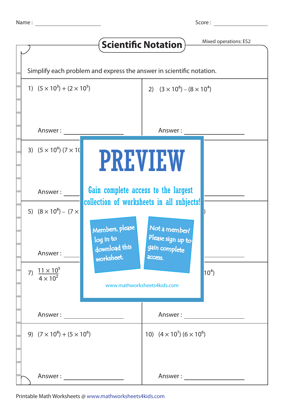Score :

|  |                                                                      |                                     | <b>Scientific Notation</b>                | Mixed operations: ES2 |  |  |  |  |
|--|----------------------------------------------------------------------|-------------------------------------|-------------------------------------------|-----------------------|--|--|--|--|
|  |                                                                      |                                     |                                           |                       |  |  |  |  |
|  | Simplify each problem and express the answer in scientific notation. |                                     |                                           |                       |  |  |  |  |
|  | 1) $(5 \times 10^3) + (2 \times 10^5)$                               |                                     | 2) $(3 \times 10^6) - (8 \times 10^4)$    |                       |  |  |  |  |
|  |                                                                      |                                     |                                           |                       |  |  |  |  |
|  | Answer:                                                              |                                     | Answer:                                   |                       |  |  |  |  |
|  | 3) $(5 \times 10^6) (7 \times 10^6)$                                 |                                     |                                           |                       |  |  |  |  |
|  |                                                                      | <b>PREVIEW</b>                      |                                           |                       |  |  |  |  |
|  | Answer:                                                              | Gain complete access to the largest | collection of worksheets in all subjects! |                       |  |  |  |  |
|  | 5) $(8 \times 10^8) - (7 \times$                                     |                                     |                                           |                       |  |  |  |  |
|  |                                                                      | Members, please<br>log in to        | Not a member?<br>Please sign up to        |                       |  |  |  |  |
|  | Answer :                                                             | download this<br>worksheet.         | gain complete<br>access.                  |                       |  |  |  |  |
|  | 7) $\frac{11 \times 10^5}{4 \times 10^2}$                            |                                     |                                           | $10^{4}$              |  |  |  |  |
|  |                                                                      | www.mathworksheets4kids.com         |                                           |                       |  |  |  |  |
|  | Answer: ______________________                                       |                                     | Answer : _____________________            |                       |  |  |  |  |
|  | 9) $(7 \times 10^8) + (5 \times 10^6)$                               |                                     | 10) $(4 \times 10^7)$ $(6 \times 10^6)$   |                       |  |  |  |  |
|  |                                                                      |                                     |                                           |                       |  |  |  |  |
|  |                                                                      |                                     | Answer :                                  |                       |  |  |  |  |